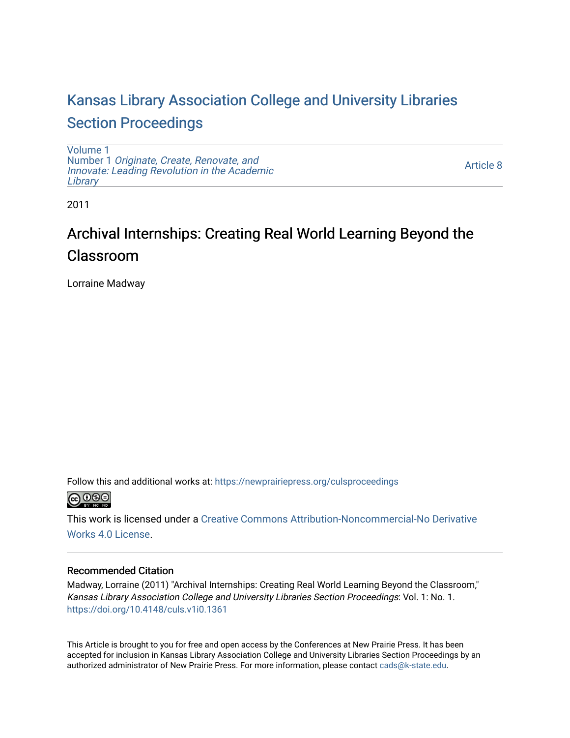## [Kansas Library Association College and University Libraries](https://newprairiepress.org/culsproceedings)  [Section Proceedings](https://newprairiepress.org/culsproceedings)

[Volume 1](https://newprairiepress.org/culsproceedings/vol1) Number 1 [Originate, Create, Renovate, and](https://newprairiepress.org/culsproceedings/vol1/iss1)  [Innovate: Leading Revolution in the Academic](https://newprairiepress.org/culsproceedings/vol1/iss1)  **[Library](https://newprairiepress.org/culsproceedings/vol1/iss1)** 

[Article 8](https://newprairiepress.org/culsproceedings/vol1/iss1/8) 

2011

# Archival Internships: Creating Real World Learning Beyond the Classroom

Lorraine Madway

Follow this and additional works at: [https://newprairiepress.org/culsproceedings](https://newprairiepress.org/culsproceedings?utm_source=newprairiepress.org%2Fculsproceedings%2Fvol1%2Fiss1%2F8&utm_medium=PDF&utm_campaign=PDFCoverPages)



This work is licensed under a [Creative Commons Attribution-Noncommercial-No Derivative](https://creativecommons.org/licenses/by-nc-nd/4.0/)  [Works 4.0 License](https://creativecommons.org/licenses/by-nc-nd/4.0/).

#### Recommended Citation

Madway, Lorraine (2011) "Archival Internships: Creating Real World Learning Beyond the Classroom," Kansas Library Association College and University Libraries Section Proceedings: Vol. 1: No. 1. <https://doi.org/10.4148/culs.v1i0.1361>

This Article is brought to you for free and open access by the Conferences at New Prairie Press. It has been accepted for inclusion in Kansas Library Association College and University Libraries Section Proceedings by an authorized administrator of New Prairie Press. For more information, please contact [cads@k-state.edu.](mailto:cads@k-state.edu)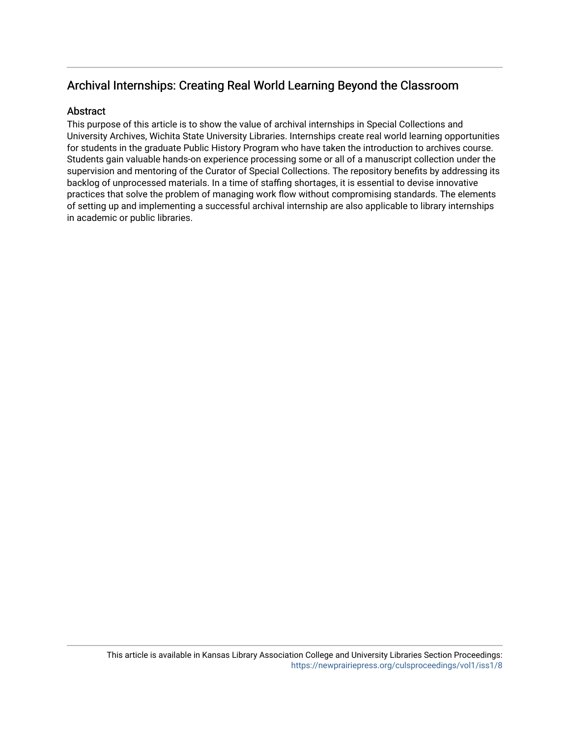## Archival Internships: Creating Real World Learning Beyond the Classroom

#### **Abstract**

This purpose of this article is to show the value of archival internships in Special Collections and University Archives, Wichita State University Libraries. Internships create real world learning opportunities for students in the graduate Public History Program who have taken the introduction to archives course. Students gain valuable hands-on experience processing some or all of a manuscript collection under the supervision and mentoring of the Curator of Special Collections. The repository benefits by addressing its backlog of unprocessed materials. In a time of staffing shortages, it is essential to devise innovative practices that solve the problem of managing work flow without compromising standards. The elements of setting up and implementing a successful archival internship are also applicable to library internships in academic or public libraries.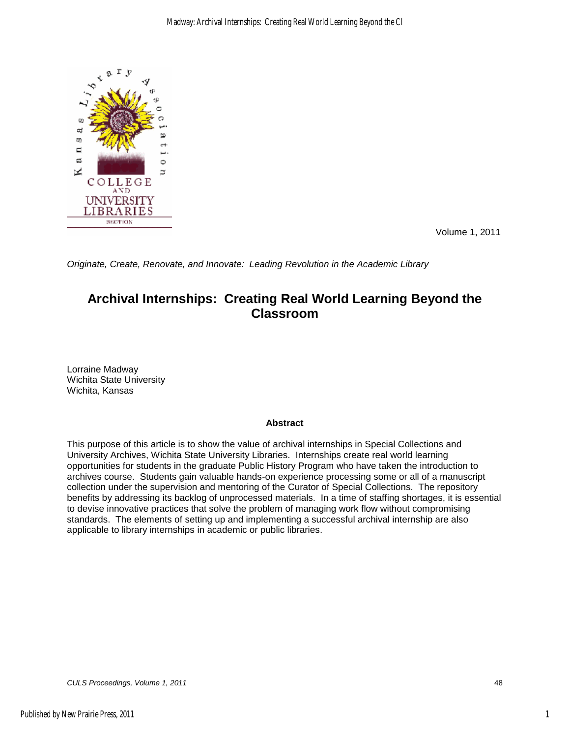

Volume 1, 2011

*Originate, Create, Renovate, and Innovate: Leading Revolution in the Academic Library* 

### **Archival Internships: Creating Real World Learning Beyond the Classroom**

Lorraine Madway Wichita State University Wichita, Kansas

#### **Abstract**

This purpose of this article is to show the value of archival internships in Special Collections and University Archives, Wichita State University Libraries. Internships create real world learning opportunities for students in the graduate Public History Program who have taken the introduction to archives course. Students gain valuable hands-on experience processing some or all of a manuscript collection under the supervision and mentoring of the Curator of Special Collections. The repository benefits by addressing its backlog of unprocessed materials. In a time of staffing shortages, it is essential to devise innovative practices that solve the problem of managing work flow without compromising standards. The elements of setting up and implementing a successful archival internship are also applicable to library internships in academic or public libraries.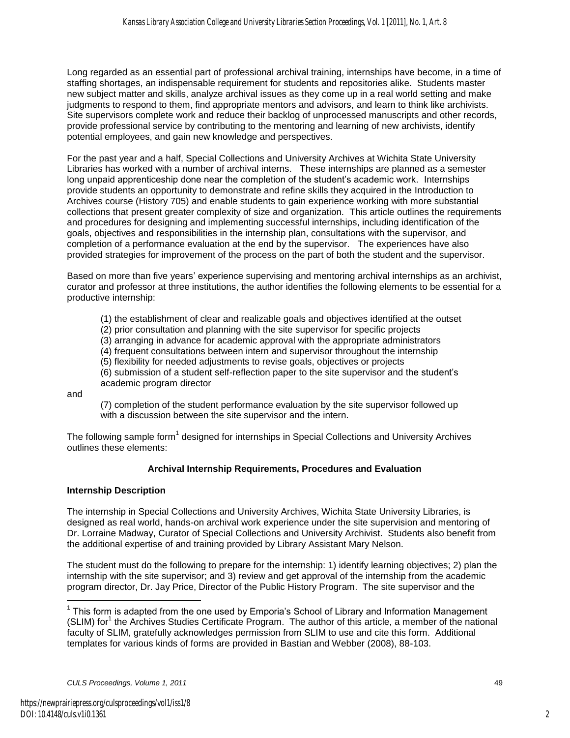Long regarded as an essential part of professional archival training, internships have become, in a time of staffing shortages, an indispensable requirement for students and repositories alike. Students master new subject matter and skills, analyze archival issues as they come up in a real world setting and make judgments to respond to them, find appropriate mentors and advisors, and learn to think like archivists. Site supervisors complete work and reduce their backlog of unprocessed manuscripts and other records, provide professional service by contributing to the mentoring and learning of new archivists, identify potential employees, and gain new knowledge and perspectives.

For the past year and a half, Special Collections and University Archives at Wichita State University Libraries has worked with a number of archival interns. These internships are planned as a semester long unpaid apprenticeship done near the completion of the student's academic work. Internships provide students an opportunity to demonstrate and refine skills they acquired in the Introduction to Archives course (History 705) and enable students to gain experience working with more substantial collections that present greater complexity of size and organization. This article outlines the requirements and procedures for designing and implementing successful internships, including identification of the goals, objectives and responsibilities in the internship plan, consultations with the supervisor, and completion of a performance evaluation at the end by the supervisor. The experiences have also provided strategies for improvement of the process on the part of both the student and the supervisor.

Based on more than five years' experience supervising and mentoring archival internships as an archivist, curator and professor at three institutions, the author identifies the following elements to be essential for a productive internship:

(1) the establishment of clear and realizable goals and objectives identified at the outset

(2) prior consultation and planning with the site supervisor for specific projects

(3) arranging in advance for academic approval with the appropriate administrators

(4) frequent consultations between intern and supervisor throughout the internship

(5) flexibility for needed adjustments to revise goals, objectives or projects

(6) submission of a student self-reflection paper to the site supervisor and the student's academic program director

and

 $\overline{a}$ 

(7) completion of the student performance evaluation by the site supervisor followed up with a discussion between the site supervisor and the intern.

The following sample form<sup>1</sup> designed for internships in Special Collections and University Archives outlines these elements:

#### **Archival Internship Requirements, Procedures and Evaluation**

#### **Internship Description**

The internship in Special Collections and University Archives, Wichita State University Libraries, is designed as real world, hands-on archival work experience under the site supervision and mentoring of Dr. Lorraine Madway, Curator of Special Collections and University Archivist. Students also benefit from the additional expertise of and training provided by Library Assistant Mary Nelson.

The student must do the following to prepare for the internship: 1) identify learning objectives; 2) plan the internship with the site supervisor; and 3) review and get approval of the internship from the academic program director, Dr. Jay Price, Director of the Public History Program. The site supervisor and the

 $1$  This form is adapted from the one used by Emporia's School of Library and Information Management (SLIM) for<sup>1</sup> the Archives Studies Certificate Program. The author of this article, a member of the national faculty of SLIM, gratefully acknowledges permission from SLIM to use and cite this form. Additional templates for various kinds of forms are provided in Bastian and Webber (2008), 88-103.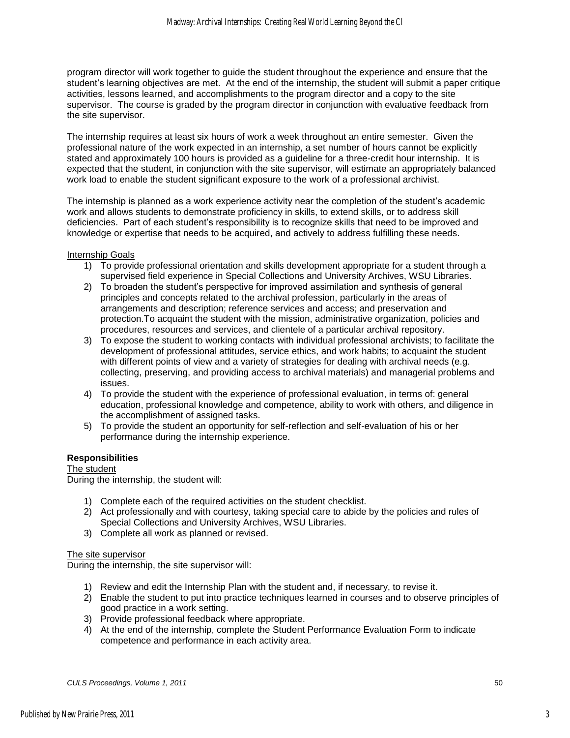program director will work together to guide the student throughout the experience and ensure that the student's learning objectives are met. At the end of the internship, the student will submit a paper critique activities, lessons learned, and accomplishments to the program director and a copy to the site supervisor. The course is graded by the program director in conjunction with evaluative feedback from the site supervisor.

The internship requires at least six hours of work a week throughout an entire semester. Given the professional nature of the work expected in an internship, a set number of hours cannot be explicitly stated and approximately 100 hours is provided as a guideline for a three-credit hour internship. It is expected that the student, in conjunction with the site supervisor, will estimate an appropriately balanced work load to enable the student significant exposure to the work of a professional archivist.

The internship is planned as a work experience activity near the completion of the student's academic work and allows students to demonstrate proficiency in skills, to extend skills, or to address skill deficiencies. Part of each student's responsibility is to recognize skills that need to be improved and knowledge or expertise that needs to be acquired, and actively to address fulfilling these needs.

#### Internship Goals

- 1) To provide professional orientation and skills development appropriate for a student through a supervised field experience in Special Collections and University Archives, WSU Libraries.
- 2) To broaden the student's perspective for improved assimilation and synthesis of general principles and concepts related to the archival profession, particularly in the areas of arrangements and description; reference services and access; and preservation and protection.To acquaint the student with the mission, administrative organization, policies and procedures, resources and services, and clientele of a particular archival repository.
- 3) To expose the student to working contacts with individual professional archivists; to facilitate the development of professional attitudes, service ethics, and work habits; to acquaint the student with different points of view and a variety of strategies for dealing with archival needs (e.g. collecting, preserving, and providing access to archival materials) and managerial problems and issues.
- 4) To provide the student with the experience of professional evaluation, in terms of: general education, professional knowledge and competence, ability to work with others, and diligence in the accomplishment of assigned tasks.
- 5) To provide the student an opportunity for self-reflection and self-evaluation of his or her performance during the internship experience.

#### **Responsibilities**

The student During the internship, the student will:

- 1) Complete each of the required activities on the student checklist.
- 2) Act professionally and with courtesy, taking special care to abide by the policies and rules of Special Collections and University Archives, WSU Libraries.
- 3) Complete all work as planned or revised.

#### The site supervisor

During the internship, the site supervisor will:

- 1) Review and edit the Internship Plan with the student and, if necessary, to revise it.
- 2) Enable the student to put into practice techniques learned in courses and to observe principles of good practice in a work setting.
- 3) Provide professional feedback where appropriate.
- 4) At the end of the internship, complete the Student Performance Evaluation Form to indicate competence and performance in each activity area.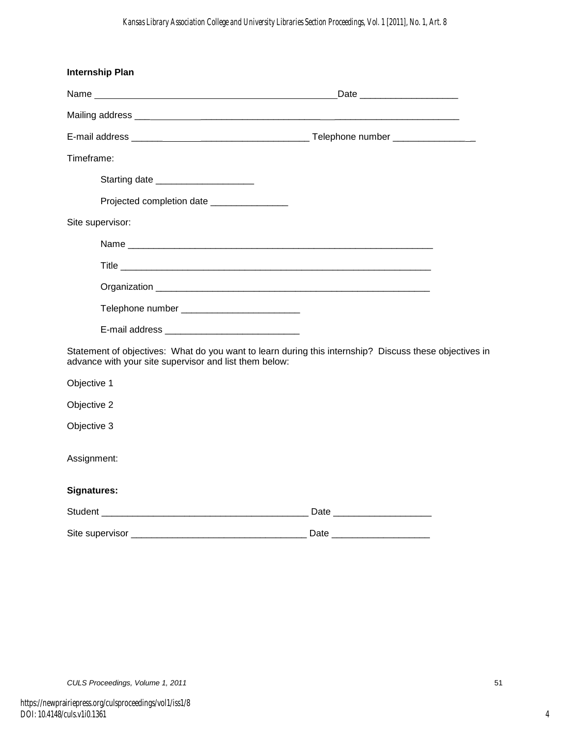| <b>Internship Plan</b>                                                                                                                                           |                               |
|------------------------------------------------------------------------------------------------------------------------------------------------------------------|-------------------------------|
|                                                                                                                                                                  | Date ________________________ |
|                                                                                                                                                                  |                               |
|                                                                                                                                                                  |                               |
| Timeframe:                                                                                                                                                       |                               |
| Starting date _______________________                                                                                                                            |                               |
| Projected completion date ________________                                                                                                                       |                               |
| Site supervisor:                                                                                                                                                 |                               |
|                                                                                                                                                                  |                               |
|                                                                                                                                                                  |                               |
|                                                                                                                                                                  |                               |
|                                                                                                                                                                  |                               |
| E-mail address _________________________________                                                                                                                 |                               |
| Statement of objectives: What do you want to learn during this internship? Discuss these objectives in<br>advance with your site supervisor and list them below: |                               |
| Objective 1                                                                                                                                                      |                               |
| Objective 2                                                                                                                                                      |                               |
| Objective 3                                                                                                                                                      |                               |
| Assignment:                                                                                                                                                      |                               |
| Signatures:                                                                                                                                                      |                               |
|                                                                                                                                                                  |                               |
|                                                                                                                                                                  | Date ________________________ |

4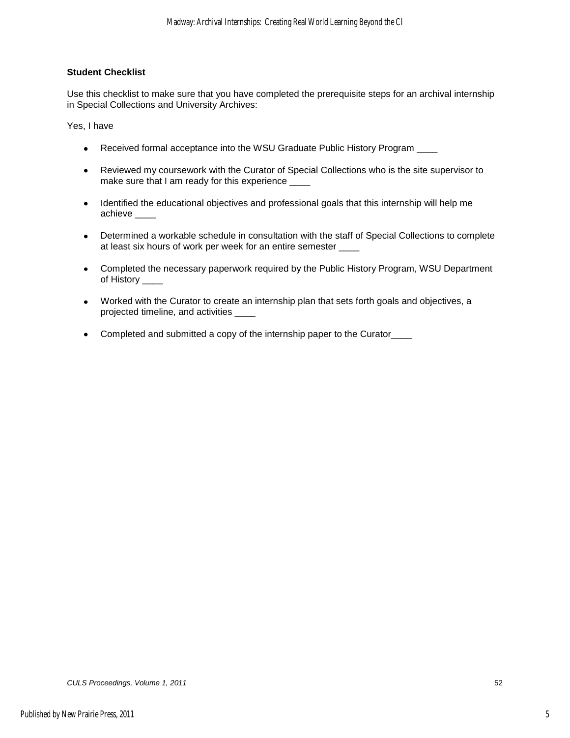#### **Student Checklist**

Use this checklist to make sure that you have completed the prerequisite steps for an archival internship in Special Collections and University Archives:

Yes, I have

- Received formal acceptance into the WSU Graduate Public History Program \_\_\_\_
- Reviewed my coursework with the Curator of Special Collections who is the site supervisor to make sure that I am ready for this experience
- Identified the educational objectives and professional goals that this internship will help me achieve
- Determined a workable schedule in consultation with the staff of Special Collections to complete at least six hours of work per week for an entire semester \_\_\_\_
- Completed the necessary paperwork required by the Public History Program, WSU Department of History
- Worked with the Curator to create an internship plan that sets forth goals and objectives, a projected timeline, and activities \_\_\_\_
- Completed and submitted a copy of the internship paper to the Curator\_\_\_\_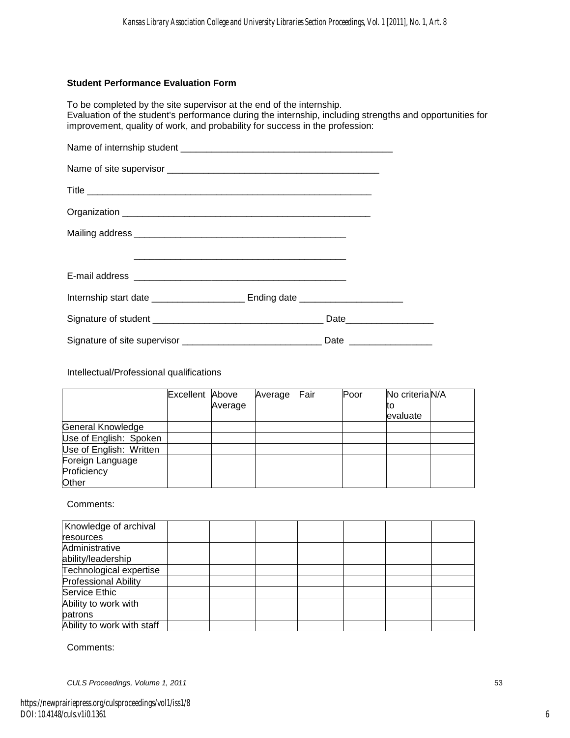#### **Student Performance Evaluation Form**

To be completed by the site supervisor at the end of the internship. Evaluation of the student's performance during the internship, including strengths and opportunities for improvement, quality of work, and probability for success in the profession:

Intellectual/Professional qualifications

|                         | Excellent Above |         | Average | Fair | Poor | No criteria N/A |  |
|-------------------------|-----------------|---------|---------|------|------|-----------------|--|
|                         |                 | Average |         |      |      | το              |  |
|                         |                 |         |         |      |      | evaluate        |  |
| General Knowledge       |                 |         |         |      |      |                 |  |
| Use of English: Spoken  |                 |         |         |      |      |                 |  |
| Use of English: Written |                 |         |         |      |      |                 |  |
| Foreign Language        |                 |         |         |      |      |                 |  |
| Proficiency             |                 |         |         |      |      |                 |  |
| Other                   |                 |         |         |      |      |                 |  |

Comments:

| Knowledge of archival       |  |  |  |  |
|-----------------------------|--|--|--|--|
| resources                   |  |  |  |  |
| Administrative              |  |  |  |  |
| ability/leadership          |  |  |  |  |
| Technological expertise     |  |  |  |  |
| <b>Professional Ability</b> |  |  |  |  |
| Service Ethic               |  |  |  |  |
| Ability to work with        |  |  |  |  |
| patrons                     |  |  |  |  |
| Ability to work with staff  |  |  |  |  |

Comments:

*CULS Proceedings, Volume 1, 2011* 53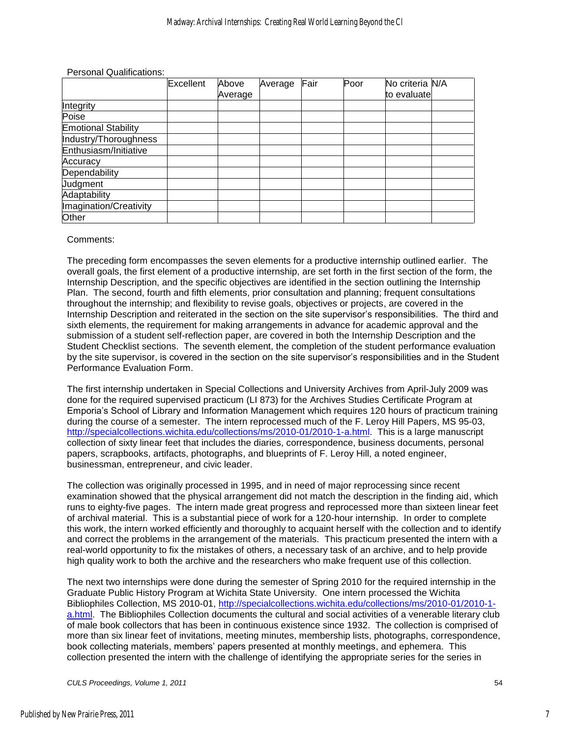Personal Qualifications:

|                            | Excellent | Above   | Average | Fair | Poor | No criteria N/A |  |
|----------------------------|-----------|---------|---------|------|------|-----------------|--|
|                            |           | Average |         |      |      | to evaluate     |  |
| Integrity                  |           |         |         |      |      |                 |  |
| Poise                      |           |         |         |      |      |                 |  |
| <b>Emotional Stability</b> |           |         |         |      |      |                 |  |
| Industry/Thoroughness      |           |         |         |      |      |                 |  |
| Enthusiasm/Initiative      |           |         |         |      |      |                 |  |
| Accuracy                   |           |         |         |      |      |                 |  |
| Dependability              |           |         |         |      |      |                 |  |
| Judgment                   |           |         |         |      |      |                 |  |
| Adaptability               |           |         |         |      |      |                 |  |
| Imagination/Creativity     |           |         |         |      |      |                 |  |
| Other                      |           |         |         |      |      |                 |  |

#### Comments:

The preceding form encompasses the seven elements for a productive internship outlined earlier. The overall goals, the first element of a productive internship, are set forth in the first section of the form, the Internship Description, and the specific objectives are identified in the section outlining the Internship Plan. The second, fourth and fifth elements, prior consultation and planning; frequent consultations throughout the internship; and flexibility to revise goals, objectives or projects, are covered in the Internship Description and reiterated in the section on the site supervisor's responsibilities. The third and sixth elements, the requirement for making arrangements in advance for academic approval and the submission of a student self-reflection paper, are covered in both the Internship Description and the Student Checklist sections. The seventh element, the completion of the student performance evaluation by the site supervisor, is covered in the section on the site supervisor's responsibilities and in the Student Performance Evaluation Form.

The first internship undertaken in Special Collections and University Archives from April-July 2009 was done for the required supervised practicum (LI 873) for the Archives Studies Certificate Program at Emporia's School of Library and Information Management which requires 120 hours of practicum training during the course of a semester. The intern reprocessed much of the F. Leroy Hill Papers, MS 95-03, [http://specialcollections.wichita.edu/collections/ms/2010-01/2010-1-a.html.](http://specialcollections.wichita.edu/collections/ms/2010-01/2010-1-a.html) This is a large manuscript collection of sixty linear feet that includes the diaries, correspondence, business documents, personal papers, scrapbooks, artifacts, photographs, and blueprints of F. Leroy Hill, a noted engineer, businessman, entrepreneur, and civic leader.

The collection was originally processed in 1995, and in need of major reprocessing since recent examination showed that the physical arrangement did not match the description in the finding aid, which runs to eighty-five pages. The intern made great progress and reprocessed more than sixteen linear feet of archival material. This is a substantial piece of work for a 120-hour internship. In order to complete this work, the intern worked efficiently and thoroughly to acquaint herself with the collection and to identify and correct the problems in the arrangement of the materials. This practicum presented the intern with a real-world opportunity to fix the mistakes of others, a necessary task of an archive, and to help provide high quality work to both the archive and the researchers who make frequent use of this collection.

The next two internships were done during the semester of Spring 2010 for the required internship in the Graduate Public History Program at Wichita State University. One intern processed the Wichita Bibliophiles Collection, MS 2010-01, [http://specialcollections.wichita.edu/collections/ms/2010-01/2010-1](http://specialcollections.wichita.edu/collections/ms/2010-01/2010-1-a.html) [a.html.](http://specialcollections.wichita.edu/collections/ms/2010-01/2010-1-a.html) The Bibliophiles Collection documents the cultural and social activities of a venerable literary club of male book collectors that has been in continuous existence since 1932. The collection is comprised of more than six linear feet of invitations, meeting minutes, membership lists, photographs, correspondence, book collecting materials, members' papers presented at monthly meetings, and ephemera. This collection presented the intern with the challenge of identifying the appropriate series for the series in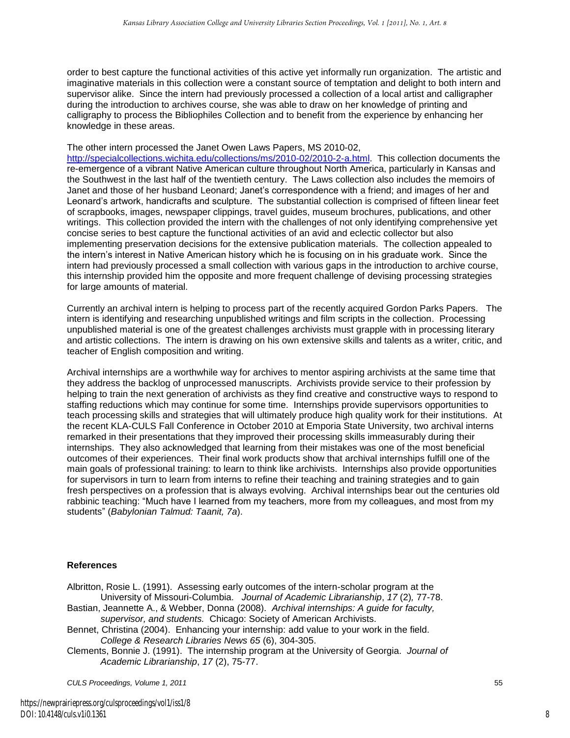order to best capture the functional activities of this active yet informally run organization. The artistic and imaginative materials in this collection were a constant source of temptation and delight to both intern and supervisor alike. Since the intern had previously processed a collection of a local artist and calligrapher during the introduction to archives course, she was able to draw on her knowledge of printing and calligraphy to process the Bibliophiles Collection and to benefit from the experience by enhancing her knowledge in these areas.

The other intern processed the Janet Owen Laws Papers, MS 2010-02,

[http://specialcollections.wichita.edu/collections/ms/2010-02/2010-2-a.html.](http://specialcollections.wichita.edu/collections/ms/2010-02/2010-2-a.html) This collection documents the re-emergence of a vibrant Native American culture throughout North America, particularly in Kansas and the Southwest in the last half of the twentieth century. The Laws collection also includes the memoirs of Janet and those of her husband Leonard; Janet's correspondence with a friend; and images of her and Leonard's artwork, handicrafts and sculpture. The substantial collection is comprised of fifteen linear feet of scrapbooks, images, newspaper clippings, travel guides, museum brochures, publications, and other writings. This collection provided the intern with the challenges of not only identifying comprehensive yet concise series to best capture the functional activities of an avid and eclectic collector but also implementing preservation decisions for the extensive publication materials. The collection appealed to the intern's interest in Native American history which he is focusing on in his graduate work. Since the intern had previously processed a small collection with various gaps in the introduction to archive course, this internship provided him the opposite and more frequent challenge of devising processing strategies for large amounts of material.

Currently an archival intern is helping to process part of the recently acquired Gordon Parks Papers. The intern is identifying and researching unpublished writings and film scripts in the collection. Processing unpublished material is one of the greatest challenges archivists must grapple with in processing literary and artistic collections. The intern is drawing on his own extensive skills and talents as a writer, critic, and teacher of English composition and writing.

Archival internships are a worthwhile way for archives to mentor aspiring archivists at the same time that they address the backlog of unprocessed manuscripts. Archivists provide service to their profession by helping to train the next generation of archivists as they find creative and constructive ways to respond to staffing reductions which may continue for some time. Internships provide supervisors opportunities to teach processing skills and strategies that will ultimately produce high quality work for their institutions. At the recent KLA-CULS Fall Conference in October 2010 at Emporia State University, two archival interns remarked in their presentations that they improved their processing skills immeasurably during their internships. They also acknowledged that learning from their mistakes was one of the most beneficial outcomes of their experiences. Their final work products show that archival internships fulfill one of the main goals of professional training: to learn to think like archivists. Internships also provide opportunities for supervisors in turn to learn from interns to refine their teaching and training strategies and to gain fresh perspectives on a profession that is always evolving. Archival internships bear out the centuries old rabbinic teaching: "Much have I learned from my teachers, more from my colleagues, and most from my students" (*Babylonian Talmud: Taanit, 7a*).

#### **References**

Albritton, Rosie L. (1991). Assessing early outcomes of the intern-scholar program at the University of Missouri-Columbia. *Journal of Academic Librarianship*, *17* (2)*,* 77-78.

Bastian, Jeannette A., & Webber, Donna (2008). *Archival internships: A guide for faculty, supervisor, and students.* Chicago: Society of American Archivists.

Bennet, Christina (2004). Enhancing your internship: add value to your work in the field. *College & Research Libraries News 65* (6), 304-305.

Clements, Bonnie J. (1991). The internship program at the University of Georgia. *Journal of Academic Librarianship*, *17* (2), 75-77.

*CULS Proceedings, Volume 1, 2011* 55

8